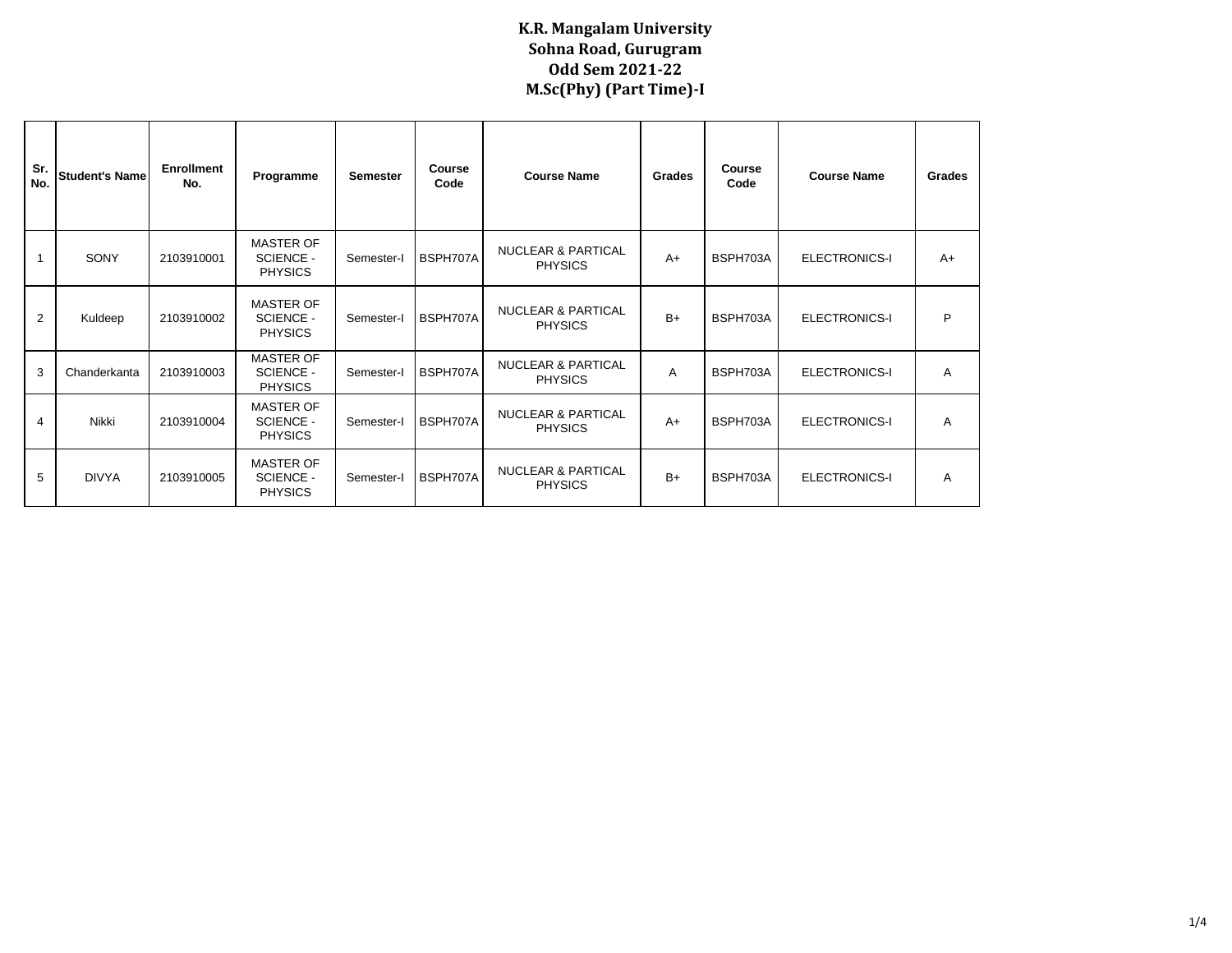| Sr.<br>No. | <b>Student's Name</b> | <b>Enrollment</b><br>No. | Programme                                              | <b>Semester</b> | Course<br>Code | <b>Course Name</b>                                      | Grades | Course<br>Code | <b>Course Name</b>   | Grades |
|------------|-----------------------|--------------------------|--------------------------------------------------------|-----------------|----------------|---------------------------------------------------------|--------|----------------|----------------------|--------|
|            | SONY                  | 2103910001               | <b>MASTER OF</b><br>SCIENCE -<br><b>PHYSICS</b>        | Semester-I      | BSPH707A       | <b>NUCLEAR &amp; PARTICAL</b><br><b>PHYSICS</b>         | $A+$   | BSPH703A       | <b>ELECTRONICS-I</b> | $A+$   |
| 2          | Kuldeep               | 2103910002               | <b>MASTER OF</b><br>SCIENCE -<br><b>PHYSICS</b>        | Semester-I      | BSPH707A       | <b>NUCLEAR &amp; PARTICAL</b><br>$B+$<br><b>PHYSICS</b> |        | BSPH703A       | <b>ELECTRONICS-I</b> | P      |
| 3          | Chanderkanta          | 2103910003               | <b>MASTER OF</b><br>SCIENCE -<br><b>PHYSICS</b>        | Semester-I      | BSPH707A       | <b>NUCLEAR &amp; PARTICAL</b><br><b>PHYSICS</b>         | A      | BSPH703A       | <b>ELECTRONICS-I</b> | A      |
| 4          | Nikki                 | 2103910004               | <b>MASTER OF</b><br><b>SCIENCE -</b><br><b>PHYSICS</b> | Semester-I      | BSPH707A       | <b>NUCLEAR &amp; PARTICAL</b><br><b>PHYSICS</b>         | $A+$   | BSPH703A       | <b>ELECTRONICS-I</b> | A      |
| 5          | <b>DIVYA</b>          | 2103910005               | <b>MASTER OF</b><br>SCIENCE -<br><b>PHYSICS</b>        | Semester-I      | BSPH707A       | <b>NUCLEAR &amp; PARTICAL</b><br><b>PHYSICS</b>         | $B+$   | BSPH703A       | <b>ELECTRONICS-I</b> | A      |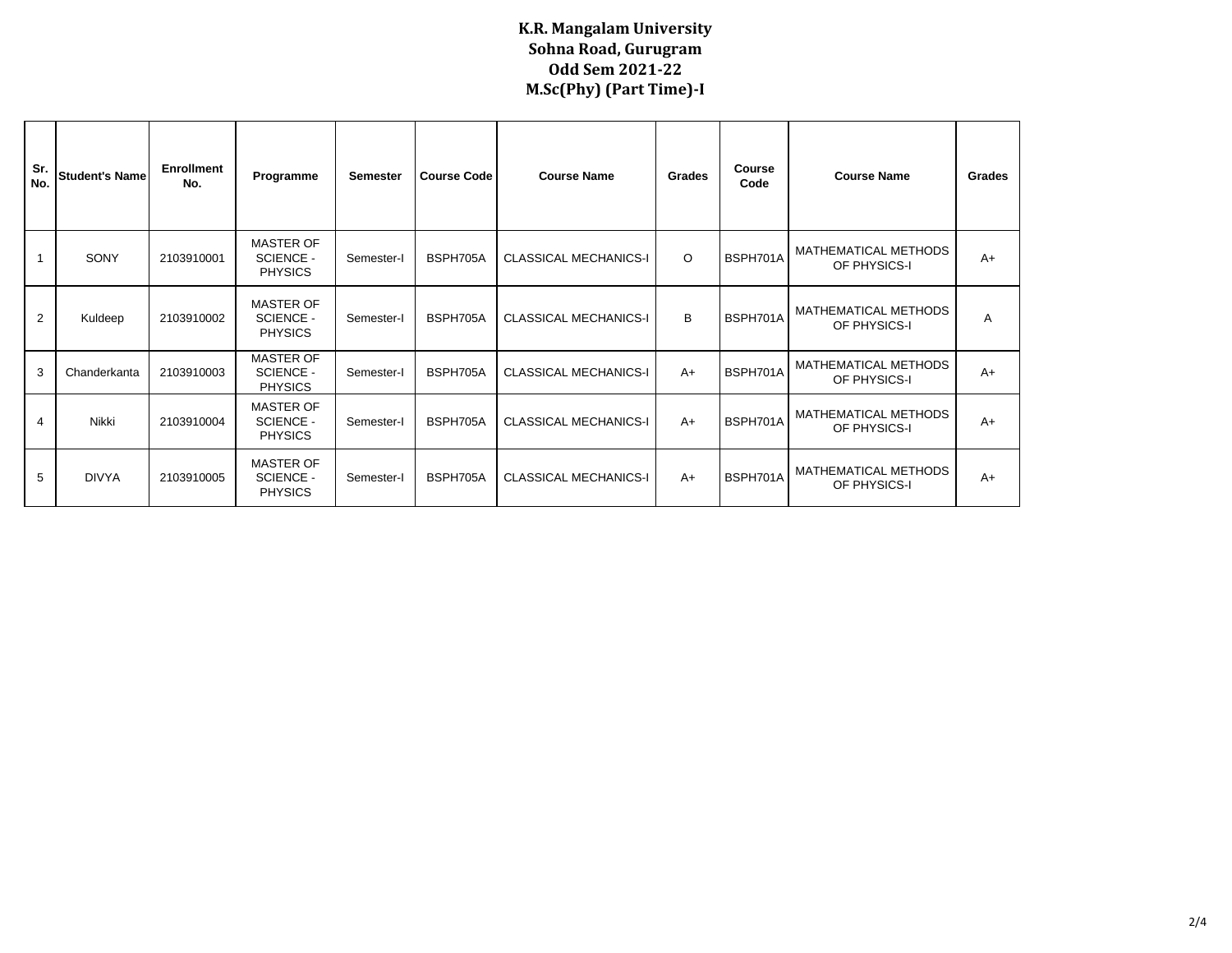| Sr.<br>No.     | <b>Student's Name</b> | <b>Enrollment</b><br>No. | Programme                                       | <b>Semester</b> | <b>Course Code</b> | <b>Course Name</b>                               | Grades  | Course<br>Code                       | <b>Course Name</b>                   | Grades |
|----------------|-----------------------|--------------------------|-------------------------------------------------|-----------------|--------------------|--------------------------------------------------|---------|--------------------------------------|--------------------------------------|--------|
| 1              | SONY                  | 2103910001               | <b>MASTER OF</b><br>SCIENCE -<br><b>PHYSICS</b> | Semester-I      | BSPH705A           | <b>CLASSICAL MECHANICS-I</b>                     | $\circ$ | BSPH701A                             | MATHEMATICAL METHODS<br>OF PHYSICS-I | $A+$   |
| $\overline{2}$ | Kuldeep               | 2103910002               | MASTER OF<br>SCIENCE -<br><b>PHYSICS</b>        | Semester-I      | BSPH705A           | B<br><b>CLASSICAL MECHANICS-I</b>                |         | BSPH701A                             | MATHEMATICAL METHODS<br>OF PHYSICS-I | A      |
| 3              | Chanderkanta          | 2103910003               | <b>MASTER OF</b><br>SCIENCE -<br><b>PHYSICS</b> | Semester-       | BSPH705A           | <b>CLASSICAL MECHANICS-I</b><br>$A+$             |         | BSPH701A                             | MATHEMATICAL METHODS<br>OF PHYSICS-I | $A+$   |
| 4              | Nikki                 | 2103910004               | <b>MASTER OF</b><br>SCIENCE -<br><b>PHYSICS</b> | Semester-I      | BSPH705A           | <b>CLASSICAL MECHANICS-I</b>                     | $A+$    | BSPH701A                             | MATHEMATICAL METHODS<br>OF PHYSICS-I | $A+$   |
| 5              | <b>DIVYA</b>          | 2103910005               | <b>MASTER OF</b><br>SCIENCE -<br><b>PHYSICS</b> | Semester-       | BSPH705A           | BSPH701A<br><b>CLASSICAL MECHANICS-I</b><br>$A+$ |         | MATHEMATICAL METHODS<br>OF PHYSICS-I | $A+$                                 |        |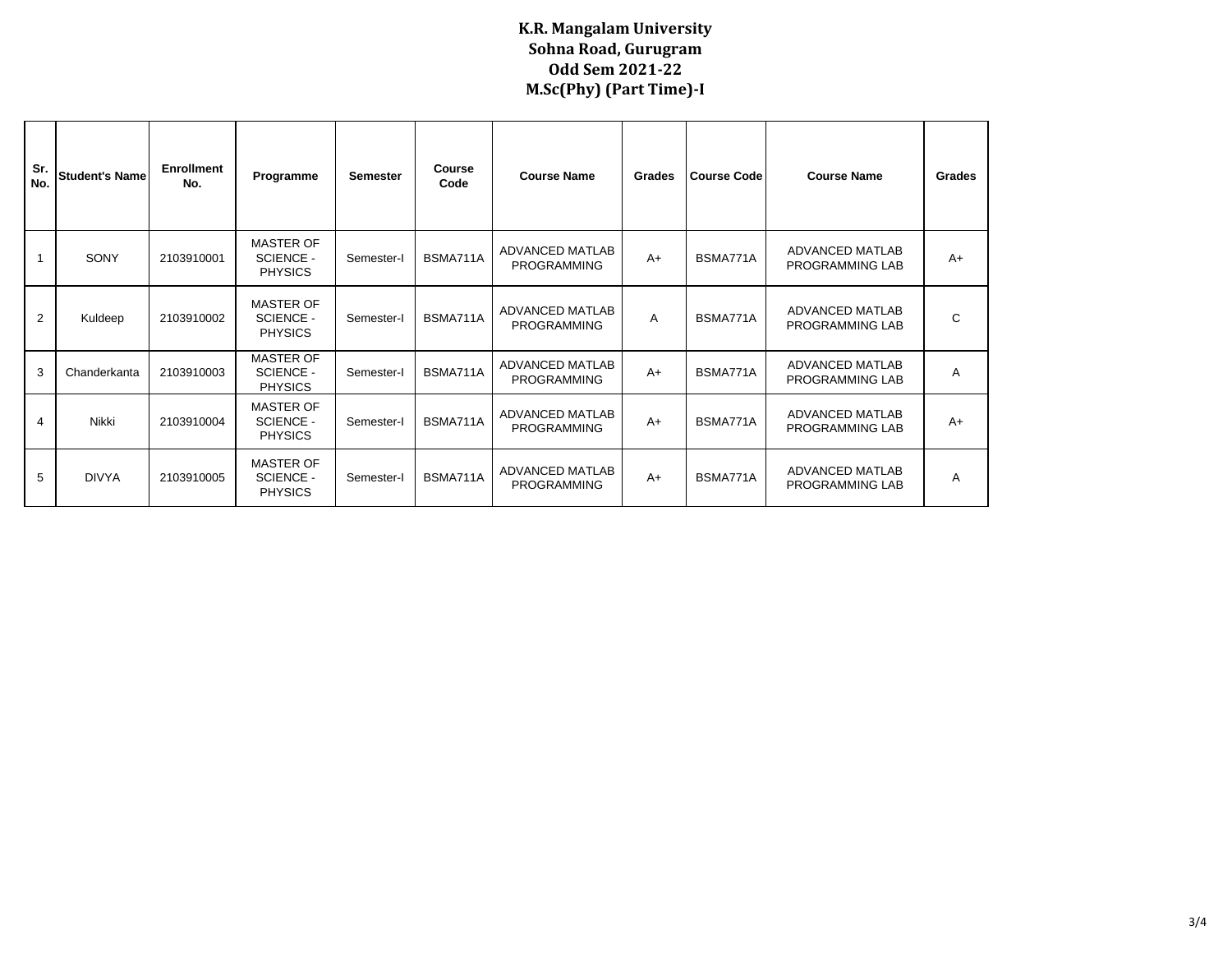| Sr.<br>No.     | <b>Student's Name</b> | <b>Enrollment</b><br>No. | Programme                                              | <b>Semester</b> | <b>Course</b><br>Code | <b>Course Name</b>                           | <b>Grades</b> | <b>Course Code</b> | <b>Course Name</b>                               | Grades |
|----------------|-----------------------|--------------------------|--------------------------------------------------------|-----------------|-----------------------|----------------------------------------------|---------------|--------------------|--------------------------------------------------|--------|
| -1             | SONY                  | 2103910001               | <b>MASTER OF</b><br><b>SCIENCE -</b><br><b>PHYSICS</b> | Semester-I      | BSMA711A              | ADVANCED MATLAB<br><b>PROGRAMMING</b>        | $A+$          | BSMA771A           | <b>ADVANCED MATLAB</b><br>PROGRAMMING LAB        | $A+$   |
| $\overline{2}$ | Kuldeep               | 2103910002               | <b>MASTER OF</b><br><b>SCIENCE -</b><br><b>PHYSICS</b> | Semester-I      | BSMA711A              | ADVANCED MATLAB<br><b>PROGRAMMING</b>        | A<br>BSMA771A |                    | <b>ADVANCED MATLAB</b><br>PROGRAMMING LAB        | C      |
| 3              | Chanderkanta          | 2103910003               | <b>MASTER OF</b><br><b>SCIENCE -</b><br><b>PHYSICS</b> | Semester-I      | BSMA711A              | <b>ADVANCED MATLAB</b><br><b>PROGRAMMING</b> | $A+$          | BSMA771A           | ADVANCED MATLAB<br><b>PROGRAMMING LAB</b>        | Α      |
| 4              | Nikki                 | 2103910004               | <b>MASTER OF</b><br><b>SCIENCE -</b><br><b>PHYSICS</b> | Semester-I      | BSMA711A              | ADVANCED MATLAB<br><b>PROGRAMMING</b>        | $A+$          | BSMA771A           | <b>ADVANCED MATLAB</b><br><b>PROGRAMMING LAB</b> | $A+$   |
| 5              | <b>DIVYA</b>          | 2103910005               | <b>MASTER OF</b><br><b>SCIENCE -</b><br><b>PHYSICS</b> | Semester-I      | BSMA711A              | ADVANCED MATLAB<br><b>PROGRAMMING</b>        | $A+$          | BSMA771A           | ADVANCED MATLAB<br><b>PROGRAMMING LAB</b>        | A      |